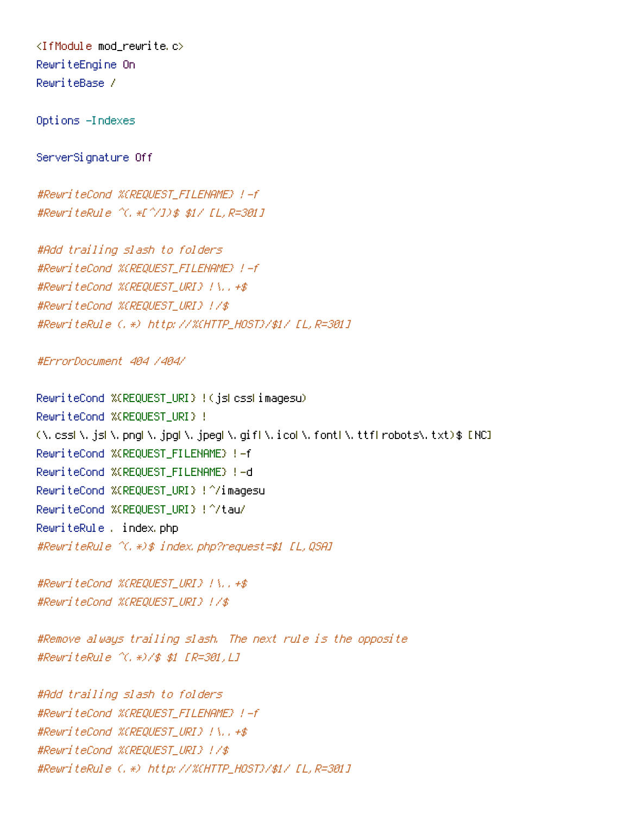<IfModule mod\_rewrite.c> RewriteEngine On RewriteBase /

Options -Indexes

ServerSignature Off

#RewriteCond %{REQUEST\_FILENAME} !-f #RewriteRule ^(.\*[^/])\$ \$1/ [L,R=301]

#Add trailing slash to folders #RewriteCond %{REQUEST\_FILENAME} !-f #RewriteCond %{REQUEST\_URI} !\..+\$ #RewriteCond %{REQUEST\_URI} !/\$ #RewriteRule (.\*) http://%{HTTP\_HOST}/\$1/ [L,R=301]

#ErrorDocument 404 /404/

RewriteCond %{REQUEST\_URI} !(js|css|imagesu) RewriteCond %{REQUEST\_URI} !  $(\lambda, \text{ess}|\lambda, \text{js}|\lambda, \text{png}|\lambda, \text{jpg}|\lambda, \text{jpeg}|\lambda, \text{gifl}\lambda, \text{icol}\lambda, \text{font}|\lambda, \text{ttf}|\text{ robots}\lambda, \text{txt})$ \$ [NC] RewriteCond %{REQUEST\_FILENAME} !-f RewriteCond %{REQUEST\_FILENAME} !-d RewriteCond %{REQUEST\_URI} !^/imagesu RewriteCond %{REQUEST\_URI} !^/tau/ RewriteRule . index.php #RewriteRule ^(.\*)\$ index.php?request=\$1 [L,QSA]

#RewriteCond %{REQUEST\_URI} !\..+\$ #RewriteCond %{REQUEST\_URI} !/\$

#Remove always trailing slash. The next rule is the opposite #RewriteRule ^(.\*)/\$ \$1 [R=301,L]

#Add trailing slash to folders #RewriteCond %{REQUEST\_FILENAME} !-f #RewriteCond %{REQUEST\_URI} !\..+\$ #RewriteCond %{REQUEST\_URI} !/\$ #RewriteRule (.\*) http://%{HTTP\_HOST}/\$1/ [L,R=301]